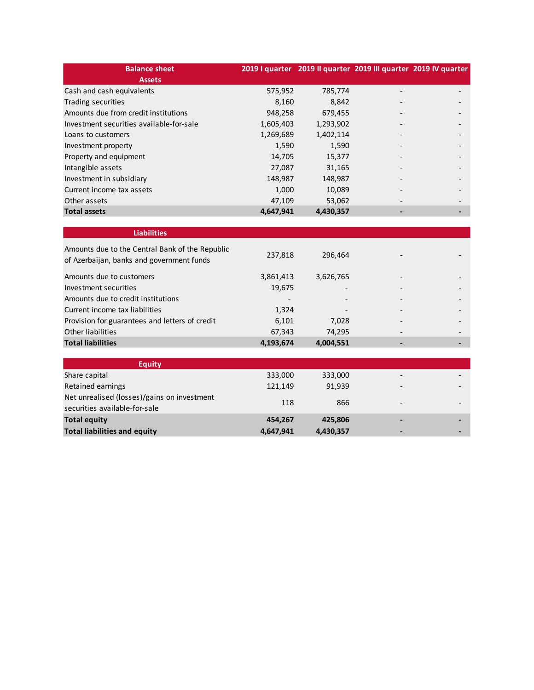| <b>Balance sheet</b>                     |           |           |                 | 2019 I quarter 2019 Il quarter 2019 III quarter 2019 IV quarter |
|------------------------------------------|-----------|-----------|-----------------|-----------------------------------------------------------------|
| <b>Assets</b>                            |           |           |                 |                                                                 |
| Cash and cash equivalents                | 575,952   | 785,774   |                 |                                                                 |
| Trading securities                       | 8,160     | 8,842     |                 |                                                                 |
| Amounts due from credit institutions     | 948,258   | 679,455   |                 |                                                                 |
| Investment securities available-for-sale | 1,605,403 | 1,293,902 |                 |                                                                 |
| Loans to customers                       | 1,269,689 | 1,402,114 |                 |                                                                 |
| Investment property                      | 1,590     | 1,590     |                 |                                                                 |
| Property and equipment                   | 14,705    | 15,377    |                 |                                                                 |
| Intangible assets                        | 27,087    | 31,165    |                 |                                                                 |
| Investment in subsidiary                 | 148,987   | 148,987   |                 |                                                                 |
| Current income tax assets                | 1,000     | 10,089    | $\qquad \qquad$ |                                                                 |
| Other assets                             | 47,109    | 53,062    |                 |                                                                 |
| <b>Total assets</b>                      | 4,647,941 | 4,430,357 |                 |                                                                 |

| <b>Liabilities</b>                                                                           |           |                          |   |  |
|----------------------------------------------------------------------------------------------|-----------|--------------------------|---|--|
| Amounts due to the Central Bank of the Republic<br>of Azerbaijan, banks and government funds | 237,818   | 296.464                  |   |  |
| Amounts due to customers                                                                     | 3,861,413 | 3,626,765                |   |  |
| Investment securities                                                                        | 19,675    |                          |   |  |
| Amounts due to credit institutions                                                           |           |                          |   |  |
| Current income tax liabilities                                                               | 1.324     | $\overline{\phantom{a}}$ |   |  |
| Provision for guarantees and letters of credit                                               | 6,101     | 7.028                    | ٠ |  |
| Other liabilities                                                                            | 67,343    | 74.295                   |   |  |
| <b>Total liabilities</b>                                                                     | 4,193,674 | 4,004,551                |   |  |

| <b>Equity</b>                                                                |           |           |                          |  |
|------------------------------------------------------------------------------|-----------|-----------|--------------------------|--|
| Share capital                                                                | 333,000   | 333,000   | $\overline{\phantom{0}}$ |  |
| Retained earnings                                                            | 121.149   | 91.939    | $\overline{\phantom{0}}$ |  |
| Net unrealised (losses)/gains on investment<br>securities available-for-sale | 118       | 866       | $\overline{\phantom{0}}$ |  |
| <b>Total equity</b>                                                          | 454.267   | 425.806   | $\blacksquare$           |  |
| <b>Total liabilities and equity</b>                                          | 4,647,941 | 4,430,357 | $\blacksquare$           |  |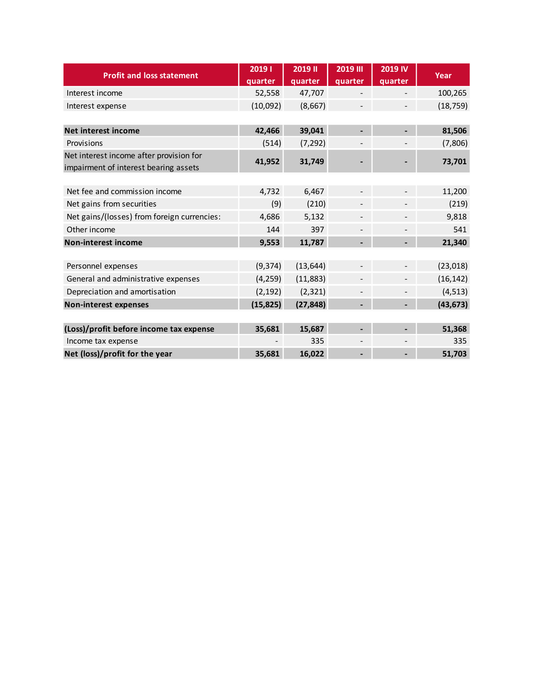| <b>Profit and loss statement</b>                                                 | 20191<br>quarter | <b>2019 II</b><br>quarter | <b>2019 III</b><br>quarter | <b>2019 IV</b><br>quarter | Year      |
|----------------------------------------------------------------------------------|------------------|---------------------------|----------------------------|---------------------------|-----------|
| Interest income                                                                  | 52,558           | 47,707                    |                            |                           | 100,265   |
| Interest expense                                                                 | (10,092)         | (8,667)                   |                            |                           | (18, 759) |
| Net interest income                                                              | 42,466           | 39,041                    |                            |                           | 81,506    |
| Provisions                                                                       | (514)            | (7, 292)                  |                            |                           | (7,806)   |
| Net interest income after provision for<br>impairment of interest bearing assets | 41,952           | 31,749                    |                            |                           | 73,701    |
|                                                                                  |                  |                           |                            |                           |           |
| Net fee and commission income                                                    | 4,732            | 6,467                     |                            |                           | 11,200    |
| Net gains from securities                                                        | (9)              | (210)                     |                            |                           | (219)     |
| Net gains/(losses) from foreign currencies:                                      | 4,686            | 5,132                     |                            |                           | 9,818     |
| Other income                                                                     | 144              | 397                       |                            |                           | 541       |
| <b>Non-interest income</b>                                                       | 9,553            | 11,787                    |                            |                           | 21,340    |
|                                                                                  |                  |                           |                            |                           |           |
| Personnel expenses                                                               | (9, 374)         | (13, 644)                 |                            |                           | (23, 018) |
| General and administrative expenses                                              | (4, 259)         | (11,883)                  |                            |                           | (16, 142) |
| Depreciation and amortisation                                                    | (2, 192)         | (2, 321)                  |                            |                           | (4, 513)  |
| <b>Non-interest expenses</b>                                                     | (15, 825)        | (27, 848)                 |                            |                           | (43, 673) |
|                                                                                  |                  |                           |                            |                           |           |
| (Loss)/profit before income tax expense                                          | 35,681           | 15,687                    |                            |                           | 51,368    |
| Income tax expense                                                               |                  | 335                       |                            |                           | 335       |
| Net (loss)/profit for the year                                                   | 35,681           | 16,022                    |                            |                           | 51,703    |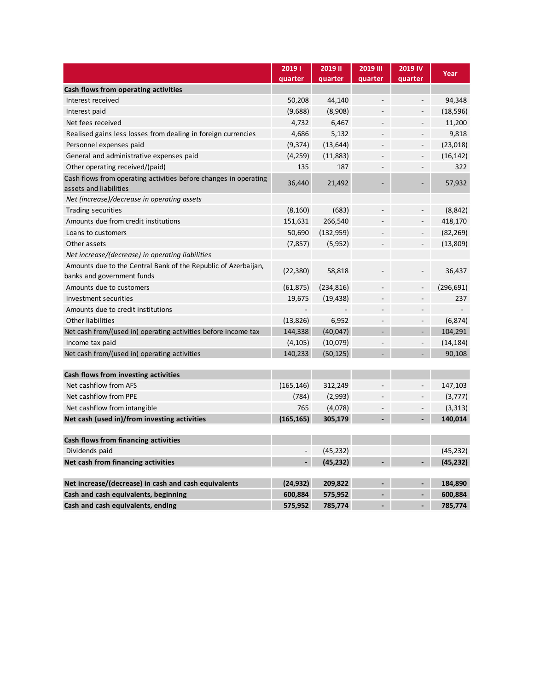|                                                                                              | 20191<br>quarter | <b>2019 II</b><br>quarter | <b>2019 III</b><br>quarter | 2019 IV<br>quarter       | Year       |
|----------------------------------------------------------------------------------------------|------------------|---------------------------|----------------------------|--------------------------|------------|
| Cash flows from operating activities                                                         |                  |                           |                            |                          |            |
| Interest received                                                                            | 50,208           | 44,140                    |                            | $\overline{\phantom{a}}$ | 94,348     |
| Interest paid                                                                                | (9,688)          | (8,908)                   |                            |                          | (18, 596)  |
| Net fees received                                                                            | 4,732            | 6,467                     |                            |                          | 11,200     |
| Realised gains less losses from dealing in foreign currencies                                | 4,686            | 5,132                     |                            |                          | 9,818      |
| Personnel expenses paid                                                                      | (9, 374)         | (13, 644)                 |                            | $\overline{\phantom{0}}$ | (23, 018)  |
| General and administrative expenses paid                                                     | (4,259)          | (11,883)                  |                            |                          | (16, 142)  |
| Other operating received/(paid)                                                              | 135              | 187                       |                            |                          | 322        |
| Cash flows from operating activities before changes in operating<br>assets and liabilities   | 36,440           | 21,492                    |                            |                          | 57,932     |
| Net (increase)/decrease in operating assets                                                  |                  |                           |                            |                          |            |
| Trading securities                                                                           | (8, 160)         | (683)                     |                            | $\overline{\phantom{0}}$ | (8, 842)   |
| Amounts due from credit institutions                                                         | 151,631          | 266,540                   |                            |                          | 418,170    |
| Loans to customers                                                                           | 50,690           | (132, 959)                |                            | $\overline{\phantom{0}}$ | (82, 269)  |
| Other assets                                                                                 | (7, 857)         | (5, 952)                  |                            | $\overline{\phantom{0}}$ | (13,809)   |
| Net increase/(decrease) in operating liabilities                                             |                  |                           |                            |                          |            |
| Amounts due to the Central Bank of the Republic of Azerbaijan,<br>banks and government funds | (22, 380)        | 58,818                    |                            |                          | 36,437     |
| Amounts due to customers                                                                     | (61, 875)        | (234, 816)                |                            |                          | (296, 691) |
| Investment securities                                                                        | 19,675           | (19, 438)                 |                            |                          | 237        |
| Amounts due to credit institutions                                                           |                  |                           |                            |                          |            |
| <b>Other liabilities</b>                                                                     | (13, 826)        | 6,952                     |                            |                          | (6, 874)   |
| Net cash from/(used in) operating activities before income tax                               | 144,338          | (40, 047)                 |                            |                          | 104,291    |
| Income tax paid                                                                              | (4, 105)         | (10,079)                  |                            | $\overline{\phantom{a}}$ | (14, 184)  |
| Net cash from/(used in) operating activities                                                 | 140,233          | (50, 125)                 |                            |                          | 90,108     |
| Cash flows from investing activities                                                         |                  |                           |                            |                          |            |
| Net cashflow from AFS                                                                        | (165, 146)       | 312,249                   |                            |                          | 147,103    |
| Net cashflow from PPE                                                                        | (784)            | (2,993)                   |                            |                          | (3, 777)   |
| Net cashflow from intangible                                                                 | 765              | (4,078)                   |                            |                          | (3, 313)   |
| Net cash (used in)/from investing activities                                                 | (165, 165)       | 305,179                   |                            | $\blacksquare$           | 140,014    |
|                                                                                              |                  |                           |                            |                          |            |
| Cash flows from financing activities                                                         |                  |                           |                            |                          |            |
| Dividends paid                                                                               |                  | (45, 232)                 |                            |                          | (45, 232)  |
| Net cash from financing activities                                                           |                  | (45, 232)                 |                            |                          | (45, 232)  |
| Net increase/(decrease) in cash and cash equivalents                                         | (24, 932)        | 209,822                   |                            | $\overline{\phantom{0}}$ | 184,890    |
| Cash and cash equivalents, beginning                                                         | 600,884          | 575,952                   |                            |                          | 600,884    |
| Cash and cash equivalents, ending                                                            | 575,952          | 785,774                   |                            |                          | 785,774    |